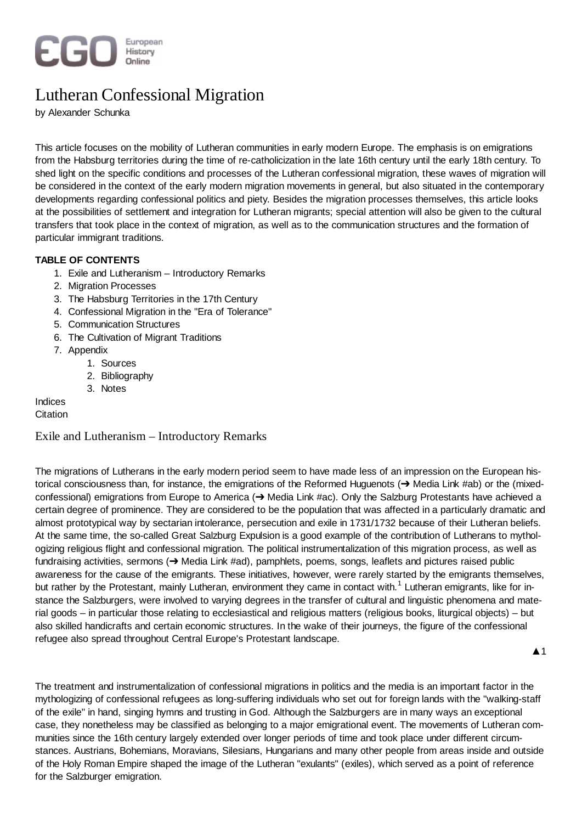

# Lutheran Confessional Migration

by Alexander Schunka

This article focuses on the mobility of Lutheran communities in early modern Europe. The emphasis is on emigrations from the Habsburg territories during the time of re-catholicization in the late 16th century until the early 18th century. To shed light on the specific conditions and processes of the Lutheran confessional migration, these waves of migration will be considered in the context of the early modern migration movements in general, but also situated in the contemporary developments regarding confessional politics and piety. Besides the migration processes themselves, this article looks at the possibilities of settlement and integration for Lutheran migrants; special attention will also be given to the cultural transfers that took place in the context of migration, as well as to the communication structures and the formation of particular immigrant traditions.

# **TABLE OF CONTENTS**

- 1. Exile and Lutheranism Introductory Remarks
- 2. Migration Processes
- 3. The Habsburg Territories in the 17th Century
- 4. Confessional Migration in the "Era of Tolerance"
- 5. Communication Structures
- 6. The Cultivation of Migrant Traditions
- 7. Appendix
	- 1. Sources
	- 2. Bibliography
	- 3. Notes

Indices

# **Citation**

# Exile and Lutheranism – Introductory Remarks

The migrations of Lutherans in the early modern period seem to have made less of an impression on the European historical consciousness than, for instance, the emigrations of the Reformed Huguenots (→ Media Link #ab) or the (mixedconfessional) emigrations from Europe to America ( $\rightarrow$  Media Link #ac). Only the Salzburg Protestants have achieved a certain degree of prominence. They are considered to be the population that was affected in a particularly dramatic and almost prototypical way by sectarian intolerance, persecution and exile in 1731/1732 because of their Lutheran beliefs. At the same time, the so-called Great Salzburg Expulsion is a good example of the contribution of Lutherans to mythologizing religious flight and confessional migration. The political instrumentalization of this migration process, as well as fundraising activities, sermons  $\rightarrow$  Media Link #ad), pamphlets, poems, songs, leaflets and pictures raised public awareness for the cause of the emigrants. These initiatives, however, were rarely started by the emigrants themselves, but rather by the Protestant, mainly Lutheran, environment they came in contact with.<sup>1</sup> Lutheran emigrants, like for instance the Salzburgers, were involved to varying degrees in the transfer of cultural and linguistic phenomena and material goods – in particular those relating to ecclesiastical and religious matters (religious books, liturgical objects) – but also skilled handicrafts and certain economic structures. In the wake of their journeys, the figure of the confessional refugee also spread throughout Central Europe's Protestant landscape.

 $\blacktriangle$  1

The treatment and instrumentalization of confessional migrations in politics and the media is an important factor in the mythologizing of confessional refugees as long-suffering individuals who set out for foreign lands with the "walking-staff of the exile" in hand, singing hymns and trusting in God. Although the Salzburgers are in many ways an exceptional case, they nonetheless may be classified as belonging to a major emigrational event. The movements of Lutheran communities since the 16th century largely extended over longer periods of time and took place under different circumstances. Austrians, Bohemians, Moravians, Silesians, Hungarians and many other people from areas inside and outside of the Holy Roman Empire shaped the image of the Lutheran "exulants" (exiles), which served as a point of reference for the Salzburger emigration.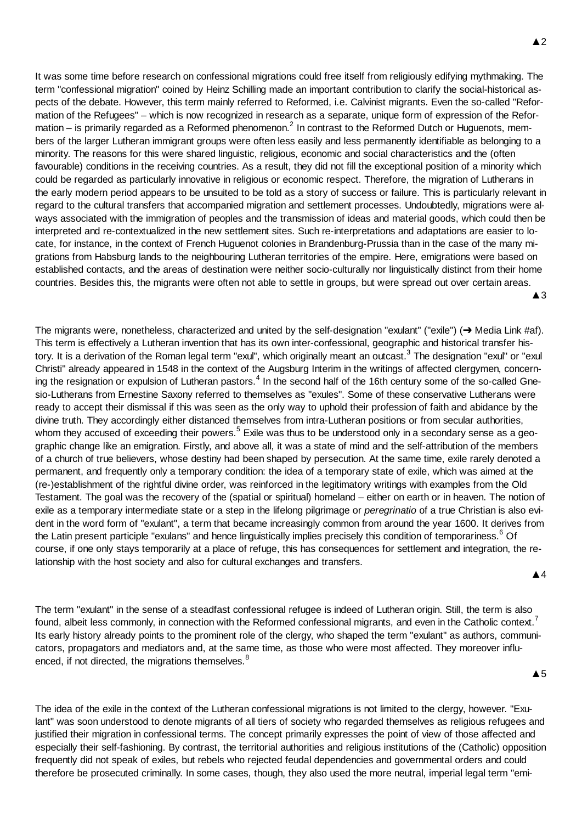It was some time before research on confessional migrations could free itself from religiously edifying mythmaking. The term "confessional migration" coined by Heinz Schilling made an important contribution to clarify the social-historical aspects of the debate. However, this term mainly referred to Reformed, i.e. Calvinist migrants. Even the so-called "Reformation of the Refugees" – which is now recognized in research as a separate, unique form of expression of the Reformation – is primarily regarded as a Reformed phenomenon.<sup>2</sup> In contrast to the Reformed Dutch or Huguenots, members of the larger Lutheran immigrant groups were often less easily and less permanently identifiable as belonging to a minority. The reasons for this were shared linguistic, religious, economic and social characteristics and the (often favourable) conditions in the receiving countries. As a result, they did not fill the exceptional position of a minority which could be regarded as particularly innovative in religious or economic respect. Therefore, the migration of Lutherans in the early modern period appears to be unsuited to be told as a story of success or failure. This is particularly relevant in regard to the cultural transfers that accompanied migration and settlement processes. Undoubtedly, migrations were always associated with the immigration of peoples and the transmission of ideas and material goods, which could then be interpreted and re-contextualized in the new settlement sites. Such re-interpretations and adaptations are easier to locate, for instance, in the context of French Huguenot colonies in Brandenburg-Prussia than in the case of the many migrations from Habsburg lands to the neighbouring Lutheran territories of the empire. Here, emigrations were based on established contacts, and the areas of destination were neither socio-culturally nor linguistically distinct from their home countries. Besides this, the migrants were often not able to settle in groups, but were spread out over certain areas.

 $\triangle$  3

The migrants were, nonetheless, characterized and united by the self-designation "exulant" ("exile") ( $\rightarrow$  Media Link #af). This term is effectively a Lutheran invention that has its own inter-confessional, geographic and historical transfer history. It is a derivation of the Roman legal term "exul", which originally meant an outcast.<sup>3</sup> The designation "exul" or "exul Christi" already appeared in 1548 in the context of the Augsburg Interim in the writings of affected clergymen, concerning the resignation or expulsion of Lutheran pastors.<sup>4</sup> In the second half of the 16th century some of the so-called Gnesio-Lutherans from Ernestine Saxony referred to themselves as "exules". Some of these conservative Lutherans were ready to accept their dismissal if this was seen as the only way to uphold their profession of faith and abidance by the divine truth. They accordingly either distanced themselves from intra-Lutheran positions or from secular authorities, whom they accused of exceeding their powers.<sup>5</sup> Exile was thus to be understood only in a secondary sense as a geographic change like an emigration. Firstly, and above all, it was a state of mind and the self-attribution of the members of a church of true believers, whose destiny had been shaped by persecution. At the same time, exile rarely denoted a permanent, and frequently only a temporary condition: the idea of a temporary state of exile, which was aimed at the (re-)establishment of the rightful divine order, was reinforced in the legitimatory writings with examples from the Old Testament. The goal was the recovery of the (spatial or spiritual) homeland – either on earth or in heaven. The notion of exile as a temporary intermediate state or a step in the lifelong pilgrimage or *peregrinatio* of a true Christian is also evident in the word form of "exulant", a term that became increasingly common from around the year 1600. It derives from the Latin present participle "exulans" and hence linguistically implies precisely this condition of temporariness.<sup>6</sup> Of course, if one only stays temporarily at a place of refuge, this has consequences for settlement and integration, the relationship with the host society and also for cultural exchanges and transfers.

Ÿ4

The term "exulant" in the sense of a steadfast confessional refugee is indeed of Lutheran origin. Still, the term is also found, albeit less commonly, in connection with the Reformed confessional migrants, and even in the Catholic context.<sup>7</sup> Its early history already points to the prominent role of the clergy, who shaped the term "exulant" as authors, communicators, propagators and mediators and, at the same time, as those who were most affected. They moreover influenced, if not directed, the migrations themselves.<sup>8</sup>

 $\triangle$  5

The idea of the exile in the context of the Lutheran confessional migrations is not limited to the clergy, however. "Exulant" was soon understood to denote migrants of all tiers of society who regarded themselves as religious refugees and justified their migration in confessional terms. The concept primarily expresses the point of view of those affected and especially their self-fashioning. By contrast, the territorial authorities and religious institutions of the (Catholic) opposition frequently did not speak of exiles, but rebels who rejected feudal dependencies and governmental orders and could therefore be prosecuted criminally. In some cases, though, they also used the more neutral, imperial legal term "emi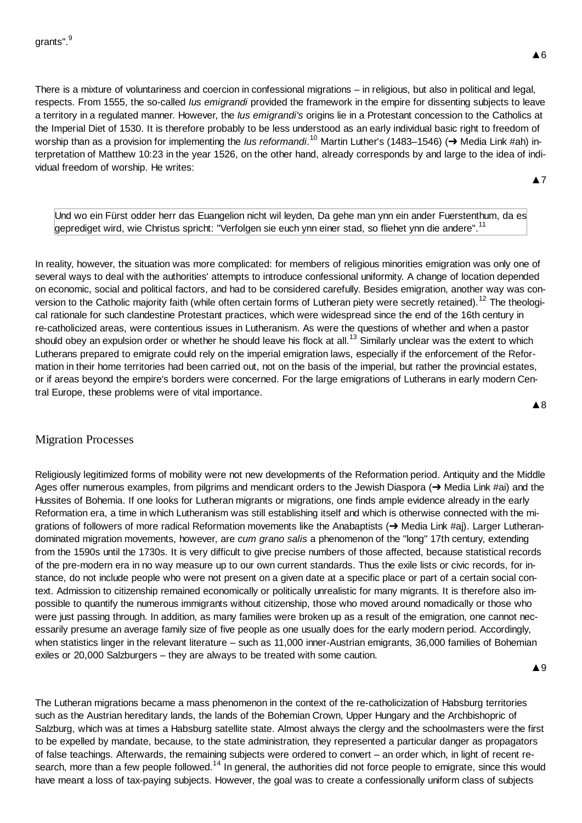There is a mixture of voluntariness and coercion in confessional migrations – in religious, but also in political and legal, respects. From 1555, the so-called *Ius emigrandi* provided the framework in the empire for dissenting subjects to leave a territory in a regulated manner. However, the *Ius emigrandi's* origins lie in a Protestant concession to the Catholics at the Imperial Diet of 1530. It is therefore probably to be less understood as an early individual basic right to freedom of worship than as a provision for implementing the *Ius reformandi*.<sup>10</sup> Martin Luther's (1483–1546) (→ Media Link #ah) interpretation of Matthew 10:23 in the year 1526, on the other hand, already corresponds by and large to the idea of individual freedom of worship. He writes:

**A7** 

Und wo ein Fürst odder herr das Euangelion nicht wil leyden, Da gehe man ynn ein ander Fuerstenthum, da es geprediget wird, wie Christus spricht: "Verfolgen sie euch ynn einer stad, so fliehet ynn die andere".<sup>11</sup>

In reality, however, the situation was more complicated: for members of religious minorities emigration was only one of several ways to deal with the authorities' attempts to introduce confessional uniformity. A change of location depended on economic, social and political factors, and had to be considered carefully. Besides emigration, another way was conversion to the Catholic majority faith (while often certain forms of Lutheran piety were secretly retained).<sup>12</sup> The theological rationale for such clandestine Protestant practices, which were widespread since the end of the 16th century in re-catholicized areas, were contentious issues in Lutheranism. As were the questions of whether and when a pastor should obey an expulsion order or whether he should leave his flock at all.<sup>13</sup> Similarly unclear was the extent to which Lutherans prepared to emigrate could rely on the imperial emigration laws, especially if the enforcement of the Reformation in their home territories had been carried out, not on the basis of the imperial, but rather the provincial estates, or if areas beyond the empire's borders were concerned. For the large emigrations of Lutherans in early modern Central Europe, these problems were of vital importance.

#### **A**8

# Migration Processes

Religiously legitimized forms of mobility were not new developments of the Reformation period. Antiquity and the Middle Ages offer numerous examples, from pilgrims and mendicant orders to the Jewish Diaspora ( $\rightarrow$  Media Link #ai) and the Hussites of Bohemia. If one looks for Lutheran migrants or migrations, one finds ample evidence already in the early Reformation era, a time in which Lutheranism was still establishing itself and which is otherwise connected with the migrations of followers of more radical Reformation movements like the Anabaptists ( $\rightarrow$  Media Link #aj). Larger Lutherandominated migration movements, however, are *cum grano salis* a phenomenon of the "long" 17th century, extending from the 1590s until the 1730s. It is very difficult to give precise numbers of those affected, because statistical records of the pre-modern era in no way measure up to our own current standards. Thus the exile lists or civic records, for instance, do not include people who were not present on a given date at a specific place or part of a certain social context. Admission to citizenship remained economically or politically unrealistic for many migrants. It is therefore also impossible to quantify the numerous immigrants without citizenship, those who moved around nomadically or those who were just passing through. In addition, as many families were broken up as a result of the emigration, one cannot necessarily presume an average family size of five people as one usually does for the early modern period. Accordingly, when statistics linger in the relevant literature – such as 11,000 inner-Austrian emigrants, 36,000 families of Bohemian exiles or 20,000 Salzburgers – they are always to be treated with some caution.

The Lutheran migrations became a mass phenomenon in the context of the re-catholicization of Habsburg territories such as the Austrian hereditary lands, the lands of the Bohemian Crown, Upper Hungary and the Archbishopric of Salzburg, which was at times a Habsburg satellite state. Almost always the clergy and the schoolmasters were the first to be expelled by mandate, because, to the state administration, they represented a particular danger as propagators of false teachings. Afterwards, the remaining subjects were ordered to convert – an order which, in light of recent research, more than a few people followed.<sup>14</sup> In general, the authorities did not force people to emigrate, since this would have meant a loss of tax-paying subjects. However, the goal was to create a confessionally uniform class of subjects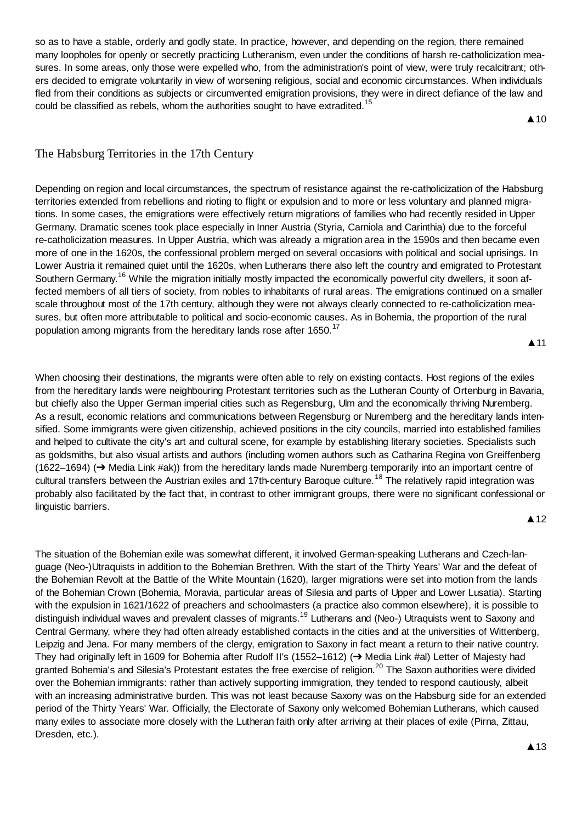so as to have a stable, orderly and godly state. In practice, however, and depending on the region, there remained many loopholes for openly or secretly practicing Lutheranism, even under the conditions of harsh re-catholicization measures. In some areas, only those were expelled who, from the administration's point of view, were truly recalcitrant; others decided to emigrate voluntarily in view of worsening religious, social and economic circumstances. When individuals fled from their conditions as subjects or circumvented emigration provisions, they were in direct defiance of the law and could be classified as rebels, whom the authorities sought to have extradited.<sup>15</sup>

 $\triangle$  10

# The Habsburg Territories in the 17th Century

Depending on region and local circumstances, the spectrum of resistance against the re-catholicization of the Habsburg territories extended from rebellions and rioting to flight or expulsion and to more or less voluntary and planned migrations. In some cases, the emigrations were effectively return migrations of families who had recently resided in Upper Germany. Dramatic scenes took place especially in Inner Austria (Styria, Carniola and Carinthia) due to the forceful re-catholicization measures. In Upper Austria, which was already a migration area in the 1590s and then became even more of one in the 1620s, the confessional problem merged on several occasions with political and social uprisings. In Lower Austria it remained quiet until the 1620s, when Lutherans there also left the country and emigrated to Protestant Southern Germany.<sup>16</sup> While the migration initially mostly impacted the economically powerful city dwellers, it soon affected members of all tiers of society, from nobles to inhabitants of rural areas. The emigrations continued on a smaller scale throughout most of the 17th century, although they were not always clearly connected to re-catholicization measures, but often more attributable to political and socio-economic causes. As in Bohemia, the proportion of the rural population among migrants from the hereditary lands rose after 1650.<sup>17</sup>

 $\blacktriangle$  11

When choosing their destinations, the migrants were often able to rely on existing contacts. Host regions of the exiles from the hereditary lands were neighbouring Protestant territories such as the Lutheran County of Ortenburg in Bavaria, but chiefly also the Upper German imperial cities such as Regensburg, Ulm and the economically thriving Nuremberg. As a result, economic relations and communications between Regensburg or Nuremberg and the hereditary lands intensified. Some immigrants were given citizenship, achieved positions in the city councils, married into established families and helped to cultivate the city's art and cultural scene, for example by establishing literary societies. Specialists such as goldsmiths, but also visual artists and authors (including women authors such as Catharina Regina von Greiffenberg (1622–1694) (→ Media Link #ak)) from the hereditary lands made Nuremberg temporarily into an important centre of cultural transfers between the Austrian exiles and 17th-century Baroque culture.<sup>18</sup> The relatively rapid integration was probably also facilitated by the fact that, in contrast to other immigrant groups, there were no significant confessional or linguistic barriers. **▲12** 

# The situation of the Bohemian exile was somewhat different, it involved German-speaking Lutherans and Czech-language (Neo-)Utraquists in addition to the Bohemian Brethren. With the start of the Thirty Years' War and the defeat of the Bohemian Revolt at the Battle of the White Mountain (1620), larger migrations were set into motion from the lands of the Bohemian Crown (Bohemia, Moravia, particular areas of Silesia and parts of Upper and Lower Lusatia). Starting with the expulsion in 1621/1622 of preachers and schoolmasters (a practice also common elsewhere), it is possible to distinguish individual waves and prevalent classes of migrants.<sup>19</sup> Lutherans and (Neo-) Utraquists went to Saxony and Central Germany, where they had often already established contacts in the cities and at the universities of Wittenberg, Leipzig and Jena. For many members of the clergy, emigration to Saxony in fact meant a return to their native country. They had originally left in 1609 for Bohemia after Rudolf II's (1552–1612) (→ Media Link #al) Letter of Majesty had granted Bohemia's and Silesia's Protestant estates the free exercise of religion.<sup>20</sup> The Saxon authorities were divided over the Bohemian immigrants: rather than actively supporting immigration, they tended to respond cautiously, albeit with an increasing administrative burden. This was not least because Saxony was on the Habsburg side for an extended period of the Thirty Years' War. Officially, the Electorate of Saxony only welcomed Bohemian Lutherans, which caused many exiles to associate more closely with the Lutheran faith only after arriving at their places of exile (Pirna, Zittau, Dresden, etc.).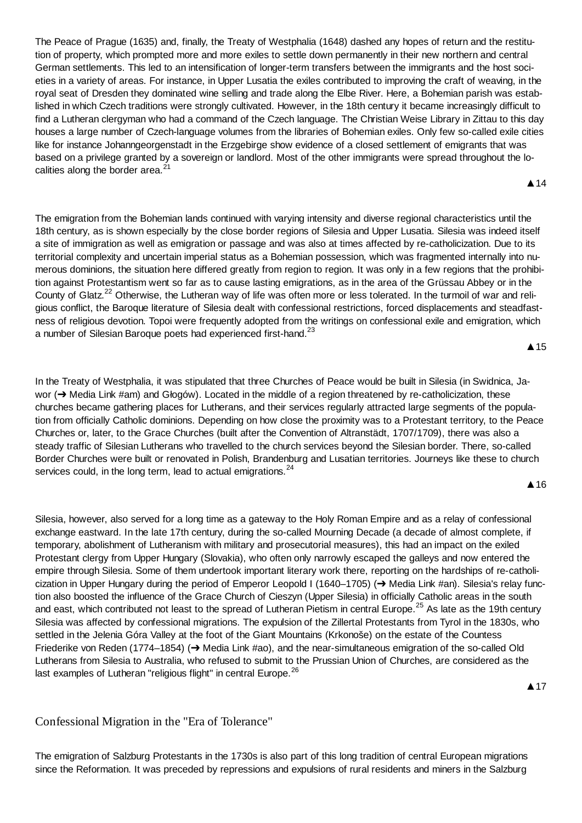The Peace of Prague (1635) and, finally, the Treaty of Westphalia (1648) dashed any hopes of return and the restitution of property, which prompted more and more exiles to settle down permanently in their new northern and central German settlements. This led to an intensification of longer-term transfers between the immigrants and the host societies in a variety of areas. For instance, in Upper Lusatia the exiles contributed to improving the craft of weaving, in the royal seat of Dresden they dominated wine selling and trade along the Elbe River. Here, a Bohemian parish was established in which Czech traditions were strongly cultivated. However, in the 18th century it became increasingly difficult to find a Lutheran clergyman who had a command of the Czech language. The Christian Weise Library in Zittau to this day houses a large number of Czech-language volumes from the libraries of Bohemian exiles. Only few so-called exile cities like for instance Johanngeorgenstadt in the Erzgebirge show evidence of a closed settlement of emigrants that was based on a privilege granted by a sovereign or landlord. Most of the other immigrants were spread throughout the localities along the border area. $21$ 

The emigration from the Bohemian lands continued with varying intensity and diverse regional characteristics until the 18th century, as is shown especially by the close border regions of Silesia and Upper Lusatia. Silesia was indeed itself a site of immigration as well as emigration or passage and was also at times affected by re-catholicization. Due to its territorial complexity and uncertain imperial status as a Bohemian possession, which was fragmented internally into numerous dominions, the situation here differed greatly from region to region. It was only in a few regions that the prohibition against Protestantism went so far as to cause lasting emigrations, as in the area of the Grüssau Abbey or in the County of Glatz.<sup>22</sup> Otherwise, the Lutheran way of life was often more or less tolerated. In the turmoil of war and religious conflict, the Baroque literature of Silesia dealt with confessional restrictions, forced displacements and steadfastness of religious devotion. Topoi were frequently adopted from the writings on confessional exile and emigration, which a number of Silesian Baroque poets had experienced first-hand.<sup>23</sup>

 $\triangle$  15

▲ 14

In the Treaty of Westphalia, it was stipulated that three Churches of Peace would be built in Silesia (in Swidnica, Jawor  $(\rightarrow)$  Media Link #am) and Głogów). Located in the middle of a region threatened by re-catholicization, these churches became gathering places for Lutherans, and their services regularly attracted large segments of the population from officially Catholic dominions. Depending on how close the proximity was to a Protestant territory, to the Peace Churches or, later, to the Grace Churches (built after the Convention of Altranstädt, 1707/1709), there was also a steady traffic of Silesian Lutherans who travelled to the church services beyond the Silesian border. There, so-called Border Churches were built or renovated in Polish, Brandenburg and Lusatian territories. Journeys like these to church services could, in the long term, lead to actual emigrations. $24$ 

**A** 16

Silesia, however, also served for a long time as a gateway to the Holy Roman Empire and as a relay of confessional exchange eastward. In the late 17th century, during the so-called Mourning Decade (a decade of almost complete, if temporary, abolishment of Lutheranism with military and prosecutorial measures), this had an impact on the exiled Protestant clergy from Upper Hungary (Slovakia), who often only narrowly escaped the galleys and now entered the empire through Silesia. Some of them undertook important literary work there, reporting on the hardships of re-catholicization in Upper Hungary during the period of Emperor Leopold I (1640–1705) ( $\rightarrow$  Media Link #an). Silesia's relay function also boosted the influence of the Grace Church of Cieszyn (Upper Silesia) in officially Catholic areas in the south and east, which contributed not least to the spread of Lutheran Pietism in central Europe.<sup>25</sup> As late as the 19th century Silesia was affected by confessional migrations. The expulsion of the Zillertal Protestants from Tyrol in the 1830s, who settled in the Jelenia Góra Valley at the foot of the Giant Mountains (Krkonoše) on the estate of the Countess Friederike von Reden (1774–1854) ( $\rightarrow$  Media Link #ao), and the near-simultaneous emigration of the so-called Old Lutherans from Silesia to Australia, who refused to submit to the Prussian Union of Churches, are considered as the last examples of Lutheran "religious flight" in central Europe.<sup>26</sup>

▲ 17

# Confessional Migration in the "Era of Tolerance"

The emigration of Salzburg Protestants in the 1730s is also part of this long tradition of central European migrations since the Reformation. It was preceded by repressions and expulsions of rural residents and miners in the Salzburg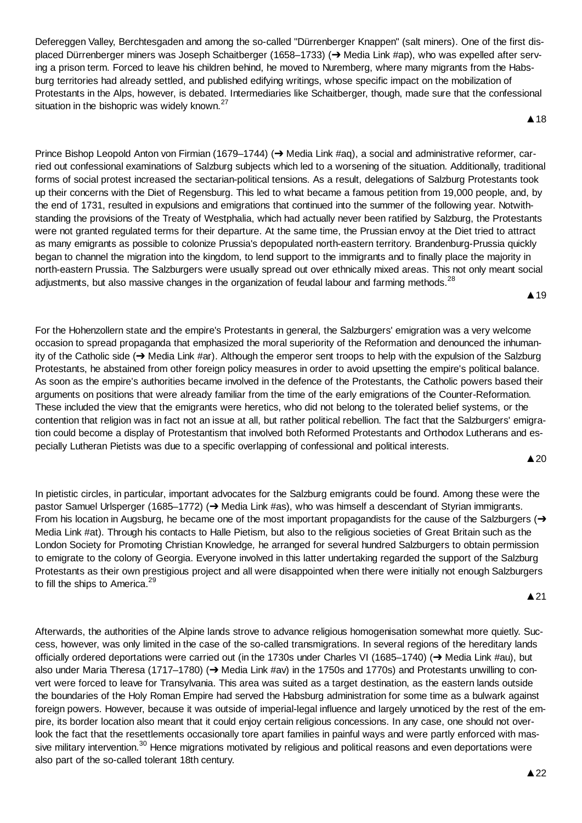Defereggen Valley, Berchtesgaden and among the so-called "Dürrenberger Knappen" (salt miners). One of the first displaced Dürrenberger miners was Joseph Schaitberger (1658–1733) ( $\rightarrow$  Media Link #ap), who was expelled after serving a prison term. Forced to leave his children behind, he moved to Nuremberg, where many migrants from the Habsburg territories had already settled, and published edifying writings, whose specific impact on the mobilization of Protestants in the Alps, however, is debated. Intermediaries like Schaitberger, though, made sure that the confessional situation in the bishopric was widely known.<sup>27</sup>

▲18

Prince Bishop Leopold Anton von Firmian (1679–1744) (→ Media Link #aq), a social and administrative reformer, carried out confessional examinations of Salzburg subjects which led to a worsening of the situation. Additionally, traditional forms of social protest increased the sectarian-political tensions. As a result, delegations of Salzburg Protestants took up their concerns with the Diet of Regensburg. This led to what became a famous petition from 19,000 people, and, by the end of 1731, resulted in expulsions and emigrations that continued into the summer of the following year. Notwithstanding the provisions of the Treaty of Westphalia, which had actually never been ratified by Salzburg, the Protestants were not granted regulated terms for their departure. At the same time, the Prussian envoy at the Diet tried to attract as many emigrants as possible to colonize Prussia's depopulated north-eastern territory. Brandenburg-Prussia quickly began to channel the migration into the kingdom, to lend support to the immigrants and to finally place the majority in north-eastern Prussia. The Salzburgers were usually spread out over ethnically mixed areas. This not only meant social adjustments, but also massive changes in the organization of feudal labour and farming methods.<sup>28</sup>

For the Hohenzollern state and the empire's Protestants in general, the Salzburgers' emigration was a very welcome occasion to spread propaganda that emphasized the moral superiority of the Reformation and denounced the inhumanity of the Catholic side  $\rightarrow$  Media Link #ar). Although the emperor sent troops to help with the expulsion of the Salzburg Protestants, he abstained from other foreign policy measures in order to avoid upsetting the empire's political balance. As soon as the empire's authorities became involved in the defence of the Protestants, the Catholic powers based their arguments on positions that were already familiar from the time of the early emigrations of the Counter-Reformation. These included the view that the emigrants were heretics, who did not belong to the tolerated belief systems, or the contention that religion was in fact not an issue at all, but rather political rebellion. The fact that the Salzburgers' emigration could become a display of Protestantism that involved both Reformed Protestants and Orthodox Lutherans and especially Lutheran Pietists was due to a specific overlapping of confessional and political interests.

 $\triangle 20$ 

▲ 19

In pietistic circles, in particular, important advocates for the Salzburg emigrants could be found. Among these were the pastor Samuel Urlsperger (1685–1772)  $\rightarrow$  Media Link #as), who was himself a descendant of Styrian immigrants. From his location in Augsburg, he became one of the most important propagandists for the cause of the Salzburgers  $\rightarrow$ Media Link #at). Through his contacts to Halle Pietism, but also to the religious societies of Great Britain such as the London Society for Promoting Christian Knowledge*,* he arranged for several hundred Salzburgers to obtain permission to emigrate to the colony of Georgia. Everyone involved in this latter undertaking regarded the support of the Salzburg Protestants as their own prestigious project and all were disappointed when there were initially not enough Salzburgers to fill the ships to America.<sup>29</sup>

 $\triangle$  21

Afterwards, the authorities of the Alpine lands strove to advance religious homogenisation somewhat more quietly. Success, however, was only limited in the case of the so-called transmigrations. In several regions of the hereditary lands officially ordered deportations were carried out (in the 1730s under Charles VI (1685–1740) (→ Media Link #au), but also under Maria Theresa (1717–1780) ( $\rightarrow$  Media Link #av) in the 1750s and 1770s) and Protestants unwilling to convert were forced to leave for Transylvania. This area was suited as a target destination, as the eastern lands outside the boundaries of the Holy Roman Empire had served the Habsburg administration for some time as a bulwark against foreign powers. However, because it was outside of imperial-legal influence and largely unnoticed by the rest of the empire, its border location also meant that it could enjoy certain religious concessions. In any case, one should not overlook the fact that the resettlements occasionally tore apart families in painful ways and were partly enforced with massive military intervention.<sup>30</sup> Hence migrations motivated by religious and political reasons and even deportations were also part of the so-called tolerant 18th century.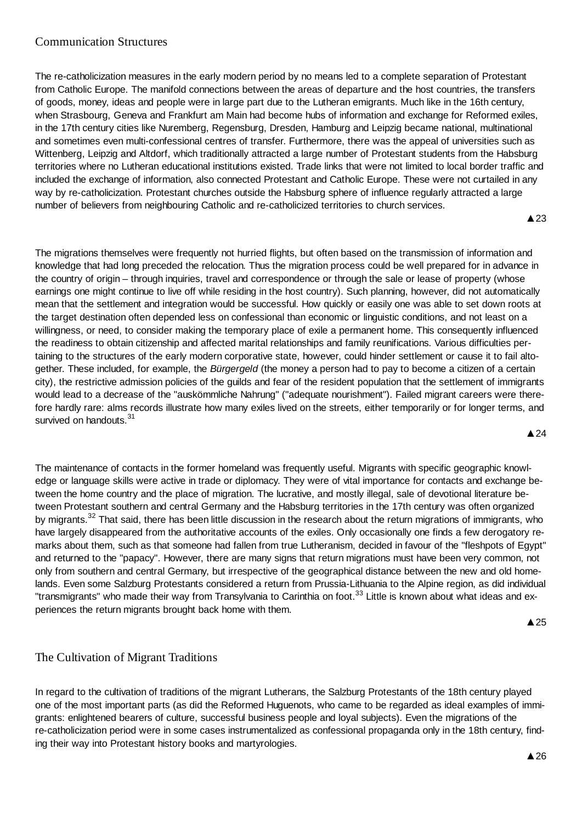# Communication Structures

The re-catholicization measures in the early modern period by no means led to a complete separation of Protestant from Catholic Europe. The manifold connections between the areas of departure and the host countries, the transfers of goods, money, ideas and people were in large part due to the Lutheran emigrants. Much like in the 16th century, when Strasbourg, Geneva and Frankfurt am Main had become hubs of information and exchange for Reformed exiles, in the 17th century cities like Nuremberg, Regensburg, Dresden, Hamburg and Leipzig became national, multinational and sometimes even multi-confessional centres of transfer. Furthermore, there was the appeal of universities such as Wittenberg, Leipzig and Altdorf, which traditionally attracted a large number of Protestant students from the Habsburg territories where no Lutheran educational institutions existed. Trade links that were not limited to local border traffic and included the exchange of information, also connected Protestant and Catholic Europe. These were not curtailed in any way by re-catholicization. Protestant churches outside the Habsburg sphere of influence regularly attracted a large number of believers from neighbouring Catholic and re-catholicized territories to church services.

**▲23** 

The migrations themselves were frequently not hurried flights, but often based on the transmission of information and knowledge that had long preceded the relocation. Thus the migration process could be well prepared for in advance in the country of origin – through inquiries, travel and correspondence or through the sale or lease of property (whose earnings one might continue to live off while residing in the host country). Such planning, however, did not automatically mean that the settlement and integration would be successful. How quickly or easily one was able to set down roots at the target destination often depended less on confessional than economic or linguistic conditions, and not least on a willingness, or need, to consider making the temporary place of exile a permanent home. This consequently influenced the readiness to obtain citizenship and affected marital relationships and family reunifications. Various difficulties pertaining to the structures of the early modern corporative state, however, could hinder settlement or cause it to fail altogether. These included, for example, the *Bürgergeld* (the money a person had to pay to become a citizen of a certain city), the restrictive admission policies of the guilds and fear of the resident population that the settlement of immigrants would lead to a decrease of the "auskömmliche Nahrung" ("adequate nourishment"). Failed migrant careers were therefore hardly rare: alms records illustrate how many exiles lived on the streets, either temporarily or for longer terms, and survived on handouts.<sup>31</sup> **▲24** 

The maintenance of contacts in the former homeland was frequently useful. Migrants with specific geographic knowledge or language skills were active in trade or diplomacy. They were of vital importance for contacts and exchange between the home country and the place of migration. The lucrative, and mostly illegal, sale of devotional literature between Protestant southern and central Germany and the Habsburg territories in the 17th century was often organized by migrants.<sup>32</sup> That said, there has been little discussion in the research about the return migrations of immigrants, who have largely disappeared from the authoritative accounts of the exiles. Only occasionally one finds a few derogatory remarks about them, such as that someone had fallen from true Lutheranism, decided in favour of the "fleshpots of Egypt" and returned to the "papacy". However, there are many signs that return migrations must have been very common, not only from southern and central Germany, but irrespective of the geographical distance between the new and old homelands. Even some Salzburg Protestants considered a return from Prussia-Lithuania to the Alpine region, as did individual "transmigrants" who made their way from Transylvania to Carinthia on foot.<sup>33</sup> Little is known about what ideas and experiences the return migrants brought back home with them.

 $\triangle$  25

# The Cultivation of Migrant Traditions

In regard to the cultivation of traditions of the migrant Lutherans, the Salzburg Protestants of the 18th century played one of the most important parts (as did the Reformed Huguenots, who came to be regarded as ideal examples of immigrants: enlightened bearers of culture, successful business people and loyal subjects). Even the migrations of the re-catholicization period were in some cases instrumentalized as confessional propaganda only in the 18th century, finding their way into Protestant history books and martyrologies.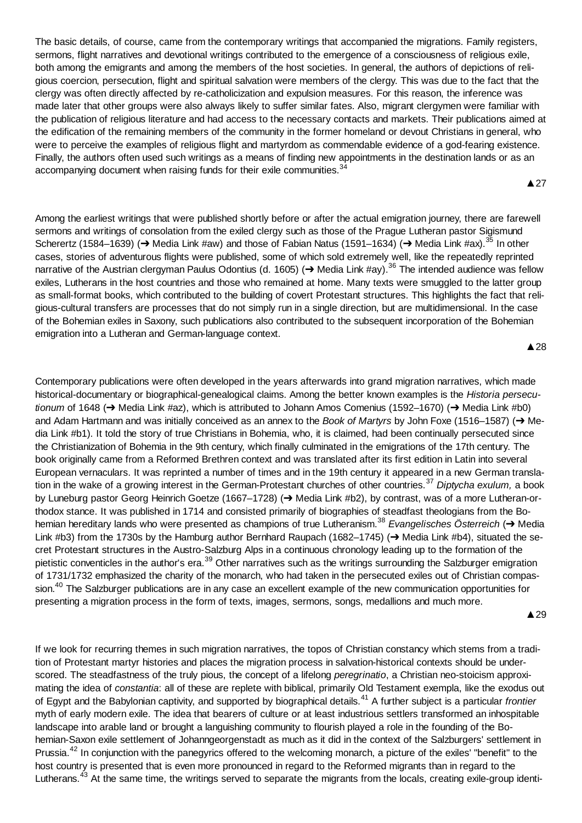The basic details, of course, came from the contemporary writings that accompanied the migrations. Family registers, sermons, flight narratives and devotional writings contributed to the emergence of a consciousness of religious exile, both among the emigrants and among the members of the host societies. In general, the authors of depictions of religious coercion, persecution, flight and spiritual salvation were members of the clergy. This was due to the fact that the clergy was often directly affected by re-catholicization and expulsion measures. For this reason, the inference was made later that other groups were also always likely to suffer similar fates. Also, migrant clergymen were familiar with the publication of religious literature and had access to the necessary contacts and markets. Their publications aimed at the edification of the remaining members of the community in the former homeland or devout Christians in general, who were to perceive the examples of religious flight and martyrdom as commendable evidence of a god-fearing existence. Finally, the authors often used such writings as a means of finding new appointments in the destination lands or as an accompanying document when raising funds for their exile communities.<sup>34</sup>

**A27** 

Among the earliest writings that were published shortly before or after the actual emigration journey, there are farewell sermons and writings of consolation from the exiled clergy such as those of the Prague Lutheran pastor Sigismund Scherertz (1584–1639) ( $\rightarrow$  Media Link #aw) and those of Fabian Natus (1591–1634) ( $\rightarrow$  Media Link #ax).<sup>35</sup> In other cases, stories of adventurous flights were published, some of which sold extremely well, like the repeatedly reprinted narrative of the Austrian clergyman Paulus Odontius (d. 1605) (→ Media Link #ay).<sup>36</sup> The intended audience was fellow exiles, Lutherans in the host countries and those who remained at home. Many texts were smuggled to the latter group as small-format books, which contributed to the building of covert Protestant structures. This highlights the fact that religious-cultural transfers are processes that do not simply run in a single direction, but are multidimensional. In the case of the Bohemian exiles in Saxony, such publications also contributed to the subsequent incorporation of the Bohemian emigration into a Lutheran and German-language context.

**A28** 

Contemporary publications were often developed in the years afterwards into grand migration narratives, which made historical-documentary or biographical-genealogical claims. Among the better known examples is the *Historia persecutionum* of 1648 (→ Media Link #az), which is attributed to Johann Amos Comenius (1592–1670) (→ Media Link #b0) and Adam Hartmann and was initially conceived as an annex to the *Book of Martyrs* by John Foxe (1516–1587) (→ Media Link #b1). It told the story of true Christians in Bohemia, who, it is claimed, had been continually persecuted since the Christianization of Bohemia in the 9th century, which finally culminated in the emigrations of the 17th century. The book originally came from a Reformed Brethren context and was translated after its first edition in Latin into several European vernaculars. It was reprinted a number of times and in the 19th century it appeared in a new German translation in the wake of a growing interest in the German-Protestant churches of other countries.<sup>37</sup> *Diptycha exulum,* a book by Luneburg pastor Georg Heinrich Goetze (1667–1728) (→ Media Link #b2), by contrast, was of a more Lutheran-orthodox stance. It was published in 1714 and consisted primarily of biographies of steadfast theologians from the Bohemian hereditary lands who were presented as champions of true Lutheranism.<sup>38</sup> *Evangelisches Österreich* (→ Media Link #b3) from the 1730s by the Hamburg author Bernhard Raupach (1682–1745) ( $\rightarrow$  Media Link #b4), situated the secret Protestant structures in the Austro-Salzburg Alps in a continuous chronology leading up to the formation of the pietistic conventicles in the author's era.<sup>39</sup> Other narratives such as the writings surrounding the Salzburger emigration of 1731/1732 emphasized the charity of the monarch, who had taken in the persecuted exiles out of Christian compassion.<sup>40</sup> The Salzburger publications are in any case an excellent example of the new communication opportunities for presenting a migration process in the form of texts, images, sermons, songs, medallions and much more.

▲29

If we look for recurring themes in such migration narratives, the topos of Christian constancy which stems from a tradition of Protestant martyr histories and places the migration process in salvation-historical contexts should be underscored. The steadfastness of the truly pious, the concept of a lifelong *peregrinatio*, a Christian neo-stoicism approximating the idea of *constantia*: all of these are replete with biblical, primarily Old Testament exempla, like the exodus out of Egypt and the Babylonian captivity, and supported by biographical details.<sup>41</sup> A further subject is a particular *frontier* myth of early modern exile. The idea that bearers of culture or at least industrious settlers transformed an inhospitable landscape into arable land or brought a languishing community to flourish played a role in the founding of the Bohemian-Saxon exile settlement of Johanngeorgenstadt as much as it did in the context of the Salzburgers' settlement in Prussia.<sup>42</sup> In conjunction with the panegyrics offered to the welcoming monarch, a picture of the exiles' "benefit" to the host country is presented that is even more pronounced in regard to the Reformed migrants than in regard to the Lutherans.<sup>43</sup> At the same time, the writings served to separate the migrants from the locals, creating exile-group identi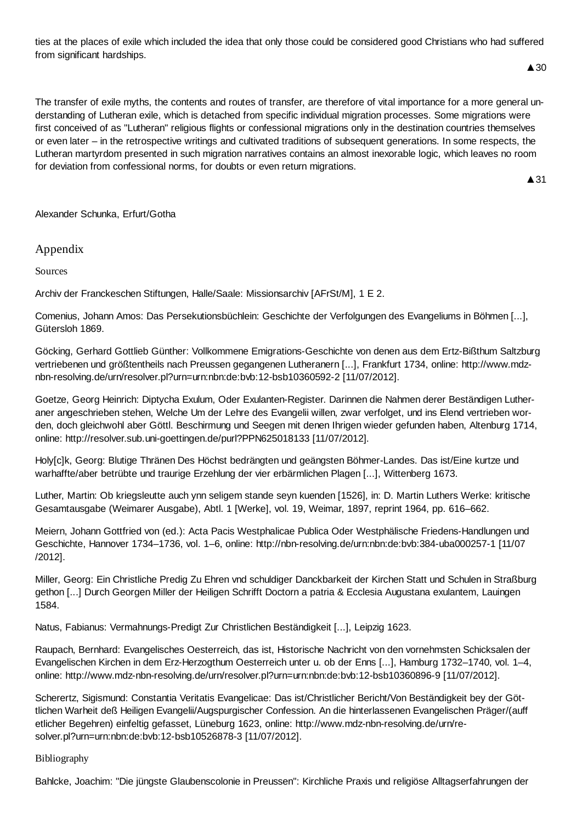ties at the places of exile which included the idea that only those could be considered good Christians who had suffered from significant hardships.

# $\triangle$  30

The transfer of exile myths, the contents and routes of transfer, are therefore of vital importance for a more general understanding of Lutheran exile, which is detached from specific individual migration processes. Some migrations were first conceived of as "Lutheran" religious flights or confessional migrations only in the destination countries themselves or even later – in the retrospective writings and cultivated traditions of subsequent generations. In some respects, the Lutheran martyrdom presented in such migration narratives contains an almost inexorable logic, which leaves no room for deviation from confessional norms, for doubts or even return migrations.

 $\triangle$  31

Alexander Schunka, Erfurt/Gotha

Appendix

Sources

Archiv der Franckeschen Stiftungen, Halle/Saale: Missionsarchiv [AFrSt/M], 1 E 2.

Comenius, Johann Amos: Das Persekutionsbüchlein: Geschichte der Verfolgungen des Evangeliums in Böhmen [...], Gütersloh 1869.

Göcking, Gerhard Gottlieb Günther: Vollkommene Emigrations-Geschichte von denen aus dem Ertz-Bißthum Saltzburg vertriebenen und größtentheils nach Preussen gegangenen Lutheranern [...], Frankfurt 1734, online: http://www.mdznbn-resolving.de/urn/resolver.pl?urn=urn:nbn:de:bvb:12-bsb10360592-2 [11/07/2012].

Goetze, Georg Heinrich: Diptycha Exulum, Oder Exulanten-Register. Darinnen die Nahmen derer Beständigen Lutheraner angeschrieben stehen, Welche Um der Lehre des Evangelii willen, zwar verfolget, und ins Elend vertrieben worden, doch gleichwohl aber Göttl. Beschirmung und Seegen mit denen Ihrigen wieder gefunden haben, Altenburg 1714, online: http://resolver.sub.uni-goettingen.de/purl?PPN625018133 [11/07/2012].

Holy[c]k, Georg: Blutige Thränen Des Höchst bedrängten und geängsten Böhmer-Landes. Das ist/Eine kurtze und warhaffte/aber betrübte und traurige Erzehlung der vier erbärmlichen Plagen [...], Wittenberg 1673.

Luther, Martin: Ob kriegsleutte auch ynn seligem stande seyn kuenden [1526], in: D. Martin Luthers Werke: kritische Gesamtausgabe (Weimarer Ausgabe), Abtl. 1 [Werke], vol. 19, Weimar, 1897, reprint 1964, pp. 616–662.

Meiern, Johann Gottfried von (ed.): Acta Pacis Westphalicae Publica Oder Westphälische Friedens-Handlungen und Geschichte, Hannover 1734–1736, vol. 1–6, online: http://nbn-resolving.de/urn:nbn:de:bvb:384-uba000257-1 [11/07 /2012].

Miller, Georg: Ein Christliche Predig Zu Ehren vnd schuldiger Danckbarkeit der Kirchen Statt und Schulen in Straßburg gethon [...] Durch Georgen Miller der Heiligen Schrifft Doctorn a patria & Ecclesia Augustana exulantem, Lauingen 1584.

Natus, Fabianus: Vermahnungs-Predigt Zur Christlichen Beständigkeit [...], Leipzig 1623.

Raupach, Bernhard: Evangelisches Oesterreich, das ist, Historische Nachricht von den vornehmsten Schicksalen der Evangelischen Kirchen in dem Erz-Herzogthum Oesterreich unter u. ob der Enns [...], Hamburg 1732–1740, vol. 1–4, online: http://www.mdz-nbn-resolving.de/urn/resolver.pl?urn=urn:nbn:de:bvb:12-bsb10360896-9 [11/07/2012].

Scherertz, Sigismund: Constantia Veritatis Evangelicae: Das ist/Christlicher Bericht/Von Beständigkeit bey der Göttlichen Warheit deß Heiligen Evangelii/Augspurgischer Confession. An die hinterlassenen Evangelischen Präger/(auff etlicher Begehren) einfeltig gefasset, Lüneburg 1623, online: http://www.mdz-nbn-resolving.de/urn/resolver.pl?urn=urn:nbn:de:bvb:12-bsb10526878-3 [11/07/2012].

#### Bibliography

Bahlcke, Joachim: "Die jüngste Glaubenscolonie in Preussen": Kirchliche Praxis und religiöse Alltagserfahrungen der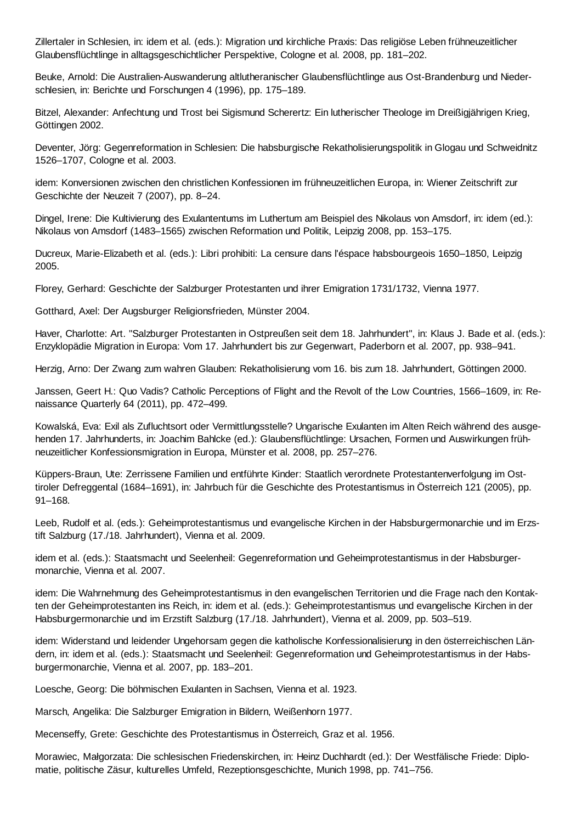Zillertaler in Schlesien, in: idem et al. (eds.): Migration und kirchliche Praxis: Das religiöse Leben frühneuzeitlicher Glaubensflüchtlinge in alltagsgeschichtlicher Perspektive, Cologne et al. 2008, pp. 181–202.

Beuke, Arnold: Die Australien-Auswanderung altlutheranischer Glaubensflüchtlinge aus Ost-Brandenburg und Niederschlesien, in: Berichte und Forschungen 4 (1996), pp. 175–189.

Bitzel, Alexander: Anfechtung und Trost bei Sigismund Scherertz: Ein lutherischer Theologe im Dreißigjährigen Krieg, Göttingen 2002.

Deventer, Jörg: Gegenreformation in Schlesien: Die habsburgische Rekatholisierungspolitik in Glogau und Schweidnitz 1526–1707, Cologne et al. 2003.

idem: Konversionen zwischen den christlichen Konfessionen im frühneuzeitlichen Europa, in: Wiener Zeitschrift zur Geschichte der Neuzeit 7 (2007), pp. 8–24.

Dingel, Irene: Die Kultivierung des Exulantentums im Luthertum am Beispiel des Nikolaus von Amsdorf, in: idem (ed.): Nikolaus von Amsdorf (1483–1565) zwischen Reformation und Politik, Leipzig 2008, pp. 153–175.

Ducreux, Marie-Elizabeth et al. (eds.): Libri prohibiti: La censure dans l'éspace habsbourgeois 1650–1850, Leipzig 2005.

Florey, Gerhard: Geschichte der Salzburger Protestanten und ihrer Emigration 1731/1732, Vienna 1977.

Gotthard, Axel: Der Augsburger Religionsfrieden, Münster 2004.

Haver, Charlotte: Art. "Salzburger Protestanten in Ostpreußen seit dem 18. Jahrhundert", in: Klaus J. Bade et al. (eds.): Enzyklopädie Migration in Europa: Vom 17. Jahrhundert bis zur Gegenwart, Paderborn et al. 2007, pp. 938–941.

Herzig, Arno: Der Zwang zum wahren Glauben: Rekatholisierung vom 16. bis zum 18. Jahrhundert, Göttingen 2000.

Janssen, Geert H.: Quo Vadis? Catholic Perceptions of Flight and the Revolt of the Low Countries, 1566–1609, in: Renaissance Quarterly 64 (2011), pp. 472–499.

Kowalská, Eva: Exil als Zufluchtsort oder Vermittlungsstelle? Ungarische Exulanten im Alten Reich während des ausgehenden 17. Jahrhunderts, in: Joachim Bahlcke (ed.): Glaubensflüchtlinge: Ursachen, Formen und Auswirkungen frühneuzeitlicher Konfessionsmigration in Europa, Münster et al. 2008, pp. 257–276.

Küppers-Braun, Ute: Zerrissene Familien und entführte Kinder: Staatlich verordnete Protestantenverfolgung im Osttiroler Defreggental (1684–1691), in: Jahrbuch für die Geschichte des Protestantismus in Österreich 121 (2005), pp. 91–168.

Leeb, Rudolf et al. (eds.): Geheimprotestantismus und evangelische Kirchen in der Habsburgermonarchie und im Erzstift Salzburg (17./18. Jahrhundert), Vienna et al. 2009.

idem et al. (eds.): Staatsmacht und Seelenheil: Gegenreformation und Geheimprotestantismus in der Habsburgermonarchie, Vienna et al. 2007.

idem: Die Wahrnehmung des Geheimprotestantismus in den evangelischen Territorien und die Frage nach den Kontakten der Geheimprotestanten ins Reich, in: idem et al. (eds.): Geheimprotestantismus und evangelische Kirchen in der Habsburgermonarchie und im Erzstift Salzburg (17./18. Jahrhundert), Vienna et al. 2009, pp. 503–519.

idem: Widerstand und leidender Ungehorsam gegen die katholische Konfessionalisierung in den österreichischen Ländern, in: idem et al. (eds.): Staatsmacht und Seelenheil: Gegenreformation und Geheimprotestantismus in der Habsburgermonarchie, Vienna et al. 2007, pp. 183–201.

Loesche, Georg: Die böhmischen Exulanten in Sachsen, Vienna et al. 1923.

Marsch, Angelika: Die Salzburger Emigration in Bildern, Weißenhorn 1977.

Mecenseffy, Grete: Geschichte des Protestantismus in Österreich, Graz et al. 1956.

Morawiec, Maágorzata: Die schlesischen Friedenskirchen, in: Heinz Duchhardt (ed.): Der Westfälische Friede: Diplomatie, politische Zäsur, kulturelles Umfeld, Rezeptionsgeschichte, Munich 1998, pp. 741–756.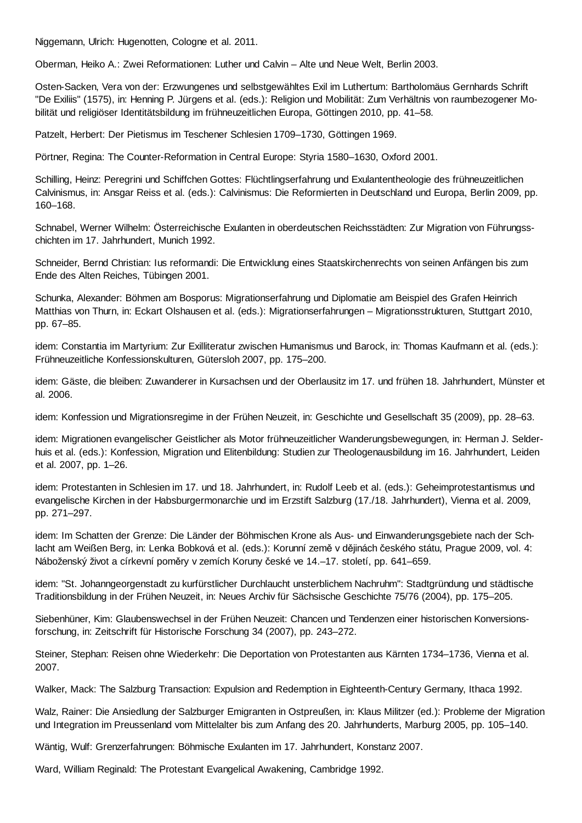Niggemann, Ulrich: Hugenotten, Cologne et al. 2011.

Oberman, Heiko A.: Zwei Reformationen: Luther und Calvin – Alte und Neue Welt, Berlin 2003.

Osten-Sacken, Vera von der: Erzwungenes und selbstgewähltes Exil im Luthertum: Bartholomäus Gernhards Schrift "De Exiliis" (1575), in: Henning P. Jürgens et al. (eds.): Religion und Mobilität: Zum Verhältnis von raumbezogener Mobilität und religiöser Identitätsbildung im frühneuzeitlichen Europa, Göttingen 2010, pp. 41–58.

Patzelt, Herbert: Der Pietismus im Teschener Schlesien 1709–1730, Göttingen 1969.

Pörtner, Regina: The Counter-Reformation in Central Europe: Styria 1580–1630, Oxford 2001.

Schilling, Heinz: Peregrini und Schiffchen Gottes: Flüchtlingserfahrung und Exulantentheologie des frühneuzeitlichen Calvinismus, in: Ansgar Reiss et al. (eds.): Calvinismus: Die Reformierten in Deutschland und Europa, Berlin 2009, pp. 160–168.

Schnabel, Werner Wilhelm: Österreichische Exulanten in oberdeutschen Reichsstädten: Zur Migration von Führungsschichten im 17. Jahrhundert, Munich 1992.

Schneider, Bernd Christian: Ius reformandi: Die Entwicklung eines Staatskirchenrechts von seinen Anfängen bis zum Ende des Alten Reiches, Tübingen 2001.

Schunka, Alexander: Böhmen am Bosporus: Migrationserfahrung und Diplomatie am Beispiel des Grafen Heinrich Matthias von Thurn, in: Eckart Olshausen et al. (eds.): Migrationserfahrungen – Migrationsstrukturen, Stuttgart 2010, pp. 67–85.

idem: Constantia im Martyrium: Zur Exilliteratur zwischen Humanismus und Barock, in: Thomas Kaufmann et al. (eds.): Frühneuzeitliche Konfessionskulturen, Gütersloh 2007, pp. 175–200.

idem: Gäste, die bleiben: Zuwanderer in Kursachsen und der Oberlausitz im 17. und frühen 18. Jahrhundert, Münster et al. 2006.

idem: Konfession und Migrationsregime in der Frühen Neuzeit, in: Geschichte und Gesellschaft 35 (2009), pp. 28–63.

idem: Migrationen evangelischer Geistlicher als Motor frühneuzeitlicher Wanderungsbewegungen, in: Herman J. Selderhuis et al. (eds.): Konfession, Migration und Elitenbildung: Studien zur Theologenausbildung im 16. Jahrhundert, Leiden et al. 2007, pp. 1–26.

idem: Protestanten in Schlesien im 17. und 18. Jahrhundert, in: Rudolf Leeb et al. (eds.): Geheimprotestantismus und evangelische Kirchen in der Habsburgermonarchie und im Erzstift Salzburg (17./18. Jahrhundert), Vienna et al. 2009, pp. 271–297.

idem: Im Schatten der Grenze: Die Länder der Böhmischen Krone als Aus- und Einwanderungsgebiete nach der Schlacht am Weißen Berg, in: Lenka Bobková et al. (eds.): Korunní země v dějinách českého státu, Prague 2009, vol. 4: Náboženský život a církevní poměry v zemích Koruny české ve 14.–17. století, pp. 641–659.

idem: "St. Johanngeorgenstadt zu kurfürstlicher Durchlaucht unsterblichem Nachruhm": Stadtgründung und städtische Traditionsbildung in der Frühen Neuzeit, in: Neues Archiv für Sächsische Geschichte 75/76 (2004), pp. 175–205.

Siebenhüner, Kim: Glaubenswechsel in der Frühen Neuzeit: Chancen und Tendenzen einer historischen Konversionsforschung, in: Zeitschrift für Historische Forschung 34 (2007), pp. 243–272.

Steiner, Stephan: Reisen ohne Wiederkehr: Die Deportation von Protestanten aus Kärnten 1734–1736, Vienna et al. 2007.

Walker, Mack: The Salzburg Transaction: Expulsion and Redemption in Eighteenth-Century Germany, Ithaca 1992.

Walz, Rainer: Die Ansiedlung der Salzburger Emigranten in Ostpreußen, in: Klaus Militzer (ed.): Probleme der Migration und Integration im Preussenland vom Mittelalter bis zum Anfang des 20. Jahrhunderts, Marburg 2005, pp. 105–140.

Wäntig, Wulf: Grenzerfahrungen: Böhmische Exulanten im 17. Jahrhundert, Konstanz 2007.

Ward, William Reginald: The Protestant Evangelical Awakening, Cambridge 1992.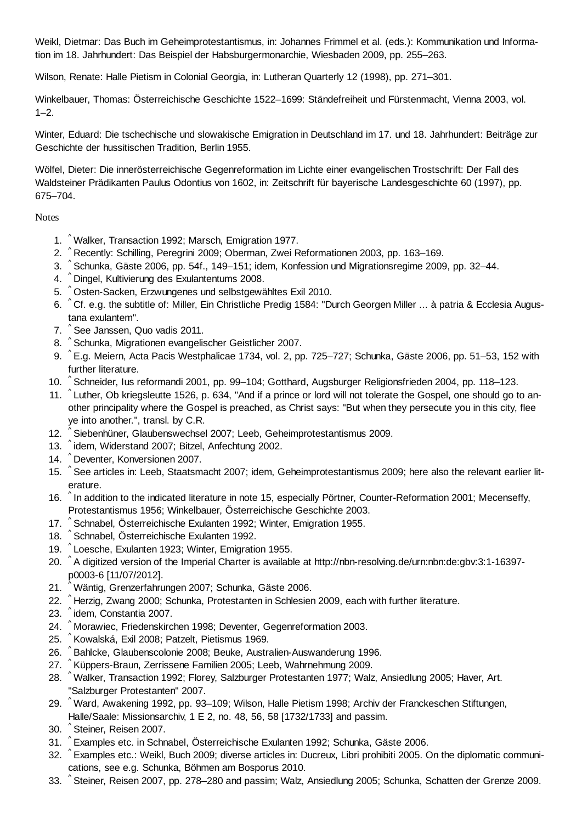Weikl, Dietmar: Das Buch im Geheimprotestantismus, in: Johannes Frimmel et al. (eds.): Kommunikation und Information im 18. Jahrhundert: Das Beispiel der Habsburgermonarchie, Wiesbaden 2009, pp. 255–263.

Wilson, Renate: Halle Pietism in Colonial Georgia, in: Lutheran Quarterly 12 (1998), pp. 271–301.

Winkelbauer, Thomas: Österreichische Geschichte 1522–1699: Ständefreiheit und Fürstenmacht, Vienna 2003, vol.  $1 - 2$ .

Winter, Eduard: Die tschechische und slowakische Emigration in Deutschland im 17. und 18. Jahrhundert: Beiträge zur Geschichte der hussitischen Tradition, Berlin 1955.

Wölfel, Dieter: Die innerösterreichische Gegenreformation im Lichte einer evangelischen Trostschrift: Der Fall des Waldsteiner Prädikanten Paulus Odontius von 1602, in: Zeitschrift für bayerische Landesgeschichte 60 (1997), pp. 675–704.

Notes

- ^ 1. Walker, Transaction 1992; Marsch, Emigration 1977.
- 2. ^ Recently: Schilling, Peregrini 2009; Oberman, Zwei Reformationen 2003, pp. 163–169.
- 3. ^Schunka, Gäste 2006, pp. 54f., 149–151; idem, Konfession und Migrationsregime 2009, pp. 32–44.
- ^ 4. Dingel, Kultivierung des Exulantentums 2008.
- 5. ^Osten-Sacken, Erzwungenes und selbstgewähltes Exil 2010.
- 6. ^Cf. e.g. the subtitle of: Miller, Ein Christliche Predig 1584: "Durch Georgen Miller ... à patria & Ecclesia Augustana exulantem".
- 7. <sup>^</sup> See Janssen, Quo vadis 2011.
- 8. <sup>^</sup> Schunka, Migrationen evangelischer Geistlicher 2007.
- 9. ^E.g. Meiern, Acta Pacis Westphalicae 1734, vol. 2, pp. 725–727; Schunka, Gäste 2006, pp. 51–53, 152 with further literature.
- 10. ^ Schneider, Ius reformandi 2001, pp. 99–104; Gotthard, Augsburger Religionsfrieden 2004, pp. 118–123.
- 11. ^Luther, Ob kriegsleutte 1526, p. 634, "And if a prince or lord will not tolerate the Gospel, one should go to another principality where the Gospel is preached, as Christ says: "But when they persecute you in this city, flee ye into another.", transl. by C.R.
- 12. ^ Siebenhüner, Glaubenswechsel 2007; Leeb, Geheimprotestantismus 2009.
- 13. ^idem, Widerstand 2007; Bitzel, Anfechtung 2002.
- ^ 14. Deventer, Konversionen 2007.
- 15. ^See articles in: Leeb, Staatsmacht 2007; idem, Geheimprotestantismus 2009; here also the relevant earlier literature.
- 16. <sup>^</sup> In addition to the indicated literature in note 15, especially Pörtner, Counter-Reformation 2001; Mecenseffy, Protestantismus 1956; Winkelbauer, Österreichische Geschichte 2003.
- 17. ^ Schnabel, Österreichische Exulanten 1992; Winter, Emigration 1955.
- 18. ^ Schnabel, Österreichische Exulanten 1992.
- 19. ^ Loesche, Exulanten 1923; Winter, Emigration 1955.
- 20. ^A digitized version of the Imperial Charter is available at http://nbn-resolving.de/urn:nbn:de:gbv:3:1-16397p0003-6 [11/07/2012].
- ^ 21. Wäntig, Grenzerfahrungen 2007; Schunka, Gäste 2006.
- 22. ^Herzig, Zwang 2000; Schunka, Protestanten in Schlesien 2009, each with further literature.
- 23. <sup>^</sup>idem, Constantia 2007.
- ^ 24. Morawiec, Friedenskirchen 1998; Deventer, Gegenreformation 2003.
- 25. ^ Kowalská, Exil 2008; Patzelt, Pietismus 1969.
- 26. ^ Bahlcke, Glaubenscolonie 2008; Beuke, Australien-Auswanderung 1996.
- 27. ^Küppers-Braun, Zerrissene Familien 2005; Leeb, Wahrnehmung 2009.
- 28. ^Walker, Transaction 1992; Florey, Salzburger Protestanten 1977; Walz, Ansiedlung 2005; Haver, Art. "Salzburger Protestanten" 2007.
- ^ Ward, Awakening 1992, pp. 93–109; Wilson, Halle Pietism 1998; Archiv der Franckeschen Stiftungen, 29. Halle/Saale: Missionsarchiv, 1 E 2, no. 48, 56, 58 [1732/1733] and passim.
- ^ 30. Steiner, Reisen 2007.
- ^ 31. Examples etc. in Schnabel, Österreichische Exulanten 1992; Schunka, Gäste 2006.
- 32. ^ Examples etc.: Weikl, Buch 2009; diverse articles in: Ducreux, Libri prohibiti 2005. On the diplomatic communications, see e.g. Schunka, Böhmen am Bosporus 2010.
- 33. ^Steiner, Reisen 2007, pp. 278–280 and passim; Walz, Ansiedlung 2005; Schunka, Schatten der Grenze 2009.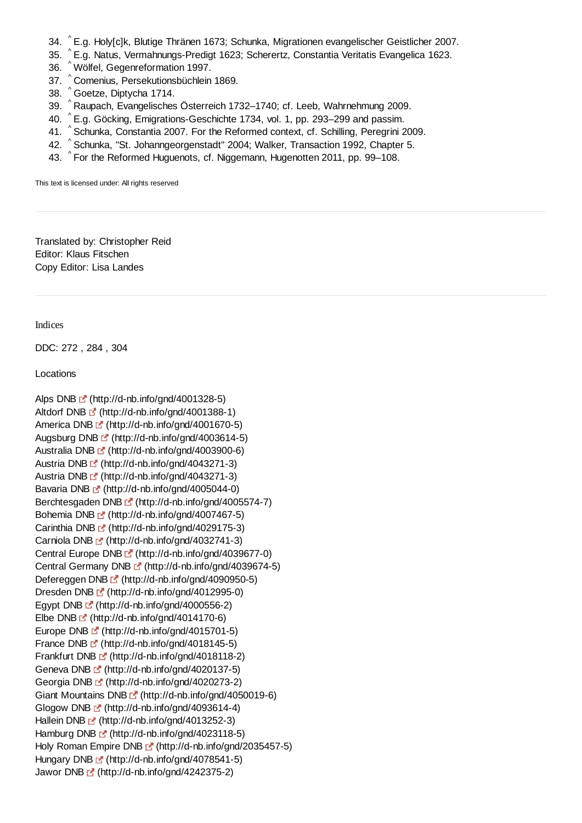- ^ 34. E.g. Holy[c]k, Blutige Thränen 1673; Schunka, Migrationen evangelischer Geistlicher 2007.
- ^ 35. E.g. Natus, Vermahnungs-Predigt 1623; Scherertz, Constantia Veritatis Evangelica 1623.
- ^ 36. Wölfel, Gegenreformation 1997.
- 37. <sup>^</sup> Comenius, Persekutionsbüchlein 1869.
- ^ 38. Goetze, Diptycha 1714.
- 39. ^ Raupach, Evangelisches Österreich 1732–1740; cf. Leeb, Wahrnehmung 2009.
- 40. ^E.g. Göcking, Emigrations-Geschichte 1734, vol. 1, pp. 293–299 and passim.
- 41. ^ Schunka, Constantia 2007. For the Reformed context, cf. Schilling, Peregrini 2009.
- 42. ^ Schunka, "St. Johanngeorgenstadt" 2004; Walker, Transaction 1992, Chapter 5.
- 43. ^For the Reformed Huguenots, cf. Niggemann, Hugenotten 2011, pp. 99–108.

This text is licensed under: All rights reserved

Translated by: Christopher Reid Editor: Klaus Fitschen Copy Editor: Lisa Landes

Indices

DDC: 272 , 284 , 304

Locations

```
Alps DNB [4] (http://d-nb.info/gnd/4001328-5)
Altdorf DNB (http://d-nb.info/gnd/4001388-1)
America DNB \blacksquare (http://d-nb.info/gnd/4001670-5)
Augsburg DNB \mathbb{F} (http://d-nb.info/gnd/4003614-5)
Australia DNB <sup>(1</sup> (http://d-nb.info/gnd/4003900-6)
Austria DNB \mathbb{F} (http://d-nb.info/gnd/4043271-3)
Austria DNB (http://d-nb.info/gnd/4043271-3) 
Bavaria DNB (http://d-nb.info/gnd/4005044-0)
Berchtesgaden DNB [fttp://d-nb.info/gnd/4005574-7)
Bohemia DNB \mathbb{F} (http://d-nb.info/gnd/4007467-5)
Carinthia DNB (http://d-nb.info/gnd/4029175-3) 
Carniola DNB <sup>c</sup> (http://d-nb.info/gnd/4032741-3)
Central Europe DNB C^{\bullet} (http://d-nb.info/gnd/4039677-0)
Central Germany DNB [fttp://d-nb.info/gnd/4039674-5)
Defereggen DNB [fttp://d-nb.info/gnd/4090950-5)
Dresden DNB <sup>r</sup> (http://d-nb.info/gnd/4012995-0)
Egypt DNB \mathbb{E}^{\bullet} (http://d-nb.info/gnd/4000556-2)
Elbe DNB (http://d-nb.info/gnd/4014170-6) 
Europe DNB (f) (http://d-nb.info/gnd/4015701-5)
France DNB \mathbb{F} (http://d-nb.info/gnd/4018145-5)
Frankfurt DNB F (http://d-nb.info/gnd/4018118-2)
Geneva DNB (http://d-nb.info/gnd/4020137-5) 
Georgia DNB [2] (http://d-nb.info/gnd/4020273-2)
Giant Mountains DNB <sup>(*</sup> (http://d-nb.info/gnd/4050019-6)
Glogow DNB \mathbb{C}^{\bullet} (http://d-nb.info/gnd/4093614-4)
Hallein DNB (http://d-nb.info/gnd/4013252-3)
Hamburg DNB F (http://d-nb.info/gnd/4023118-5)
Holy Roman Empire DNB [fttp://d-nb.info/gnd/2035457-5)
Hungary DNB \mathbb{F} (http://d-nb.info/gnd/4078541-5)
Jawor DNB [4] (http://d-nb.info/gnd/4242375-2)
```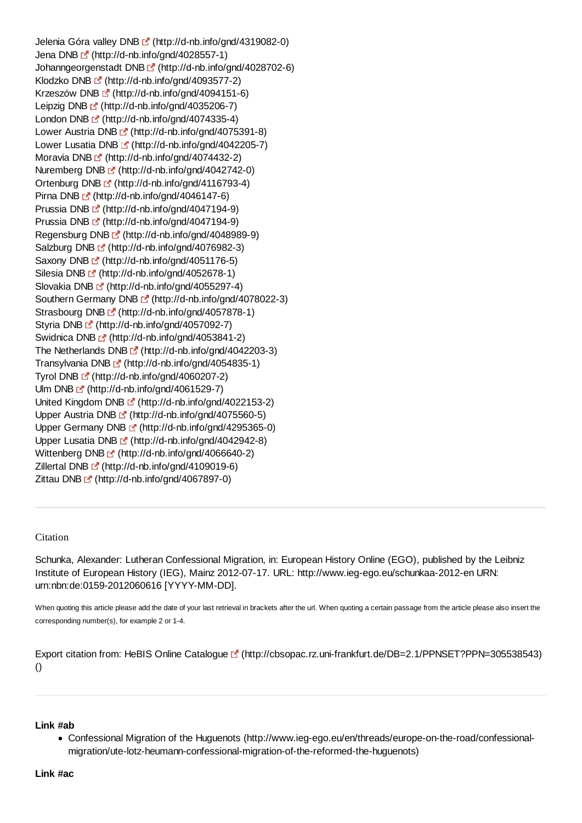Jelenia Góra valley DNB [ (http://d-nb.info/gnd/4319082-0) Jena DNB (http://d-nb.info/gnd/4028557-1) Johanngeorgenstadt DNB [fttp://d-nb.info/gnd/4028702-6) Klodzko DNB E<sup>'</sup> (http://d-nb.info/gnd/4093577-2) Krzeszów DNB F (http://d-nb.info/gnd/4094151-6) Leipzig DNB (http://d-nb.info/gnd/4035206-7) London DNB [5] (http://d-nb.info/gnd/4074335-4) Lower Austria DNB [4] (http://d-nb.info/gnd/4075391-8) Lower Lusatia DNB [st] (http://d-nb.info/gnd/4042205-7) Moravia DNB F (http://d-nb.info/gnd/4074432-2) Nuremberg DNB **₫** (http://d-nb.info/gnd/4042742-0) Ortenburg DNB (http://d-nb.info/gnd/4116793-4) Pirna DNB  $\mathbb{F}$  (http://d-nb.info/gnd/4046147-6) Prussia DNB [5] (http://d-nb.info/gnd/4047194-9) Prussia DNB <sup>1</sup> (http://d-nb.info/gnd/4047194-9) Regensburg DNB [fttp://d-nb.info/gnd/4048989-9) Salzburg DNB [5] (http://d-nb.info/gnd/4076982-3) Saxony DNB [fttp://d-nb.info/gnd/4051176-5) Silesia DNB [fttp://d-nb.info/gnd/4052678-1) Slovakia DNB [4] (http://d-nb.info/gnd/4055297-4) Southern Germany DNB [fttp://d-nb.info/gnd/4078022-3) Strasbourg DNB  $\mathbb{F}$  (http://d-nb.info/gnd/4057878-1) Styria DNB E (http://d-nb.info/gnd/4057092-7) Swidnica DNB <sup>2</sup> (http://d-nb.info/gnd/4053841-2) The Netherlands DNB  $\mathbb{F}$  (http://d-nb.info/gnd/4042203-3) Transylvania DNB (http://d-nb.info/gnd/4054835-1) Tyrol DNB  $\mathbb{L}^n$  (http://d-nb.info/gnd/4060207-2) Ulm DNB  $\mathbb{E}^{\bullet}$  (http://d-nb.info/gnd/4061529-7) United Kingdom DNB (http://d-nb.info/gnd/4022153-2) Upper Austria DNB F (http://d-nb.info/gnd/4075560-5) Upper Germany DNB E (http://d-nb.info/gnd/4295365-0) Upper Lusatia DNB [4] (http://d-nb.info/gnd/4042942-8) Wittenberg DNB [fttp://d-nb.info/gnd/4066640-2) Zillertal DNB [2] (http://d-nb.info/gnd/4109019-6) Zittau DNB  $\mathbb{E}$  (http://d-nb.info/gnd/4067897-0)

#### Citation

Schunka, Alexander: Lutheran Confessional Migration, in: European History Online (EGO), published by the Leibniz Institute of European History (IEG), Mainz 2012-07-17. URL: http://www.ieg-ego.eu/schunkaa-2012-en URN: urn:nbn:de:0159-2012060616 [YYYY-MM-DD].

When quoting this article please add the date of your last retrieval in brackets after the url. When quoting a certain passage from the article please also insert the corresponding number(s), for example 2 or 1-4.

Export citation from: HeBIS Online Catalogue L<sup>a</sup> (http://cbsopac.rz.uni-frankfurt.de/DB=2.1/PPNSET?PPN=305538543) ()

#### **Link #ab**

Confessional Migration of the Huguenots (http://www.ieg-ego.eu/en/threads/europe-on-the-road/confessionalmigration/ute-lotz-heumann-confessional-migration-of-the-reformed-the-huguenots)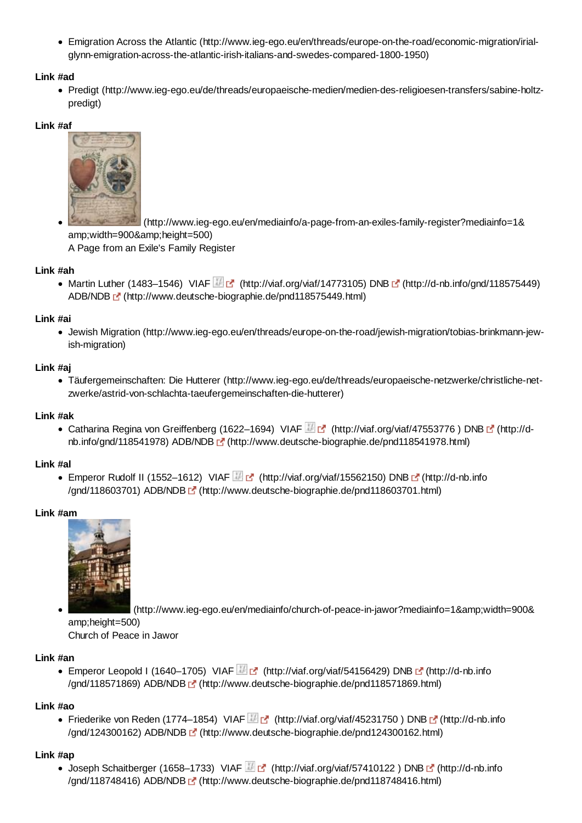Emigration Across the Atlantic (http://www.ieg-ego.eu/en/threads/europe-on-the-road/economic-migration/irialglynn-emigration-across-the-atlantic-irish-italians-and-swedes-compared-1800-1950)

# **Link #ad**

Predigt (http://www.ieg-ego.eu/de/threads/europaeische-medien/medien-des-religioesen-transfers/sabine-holtzpredigt)

# **Link #af**



 (http://www.ieg-ego.eu/en/mediainfo/a-page-from-an-exiles-family-register?mediainfo=1& amp;width=900&height=500) A Page from an Exile's Family Register

# **Link #ah**

• Martin Luther (1483–1546) VIAF  $\mathbb{F}$  (http://viaf.org/viaf/14773105) DNB  $\mathbb{F}$  (http://d-nb.info/gnd/118575449) ADB/NDB (http://www.deutsche-biographie.de/pnd118575449.html)

# **Link #ai**

Jewish Migration (http://www.ieg-ego.eu/en/threads/europe-on-the-road/jewish-migration/tobias-brinkmann-jewish-migration)

# **Link #aj**

Täufergemeinschaften: Die Hutterer (http://www.ieg-ego.eu/de/threads/europaeische-netzwerke/christliche-netzwerke/astrid-von-schlachta-taeufergemeinschaften-die-hutterer)

### **Link #ak**

Catharina Regina von Greiffenberg (1622–1694) VIAF F (http://viaf.org/viaf/47553776) DNB [ (http://dnb.info/gnd/118541978) ADB/NDB (http://www.deutsche-biographie.de/pnd118541978.html)

#### **Link #al**

• Emperor Rudolf II (1552–1612) VIAF <sup>[27</sup> (http://viaf.org/viaf/15562150) DNB **D**<sup>2</sup> (http://d-nb.info /gnd/118603701) ADB/NDB (http://www.deutsche-biographie.de/pnd118603701.html)

#### **Link #am**



(http://www.ieg-ego.eu/en/mediainfo/church-of-peace-in-jawor?mediainfo=1&width=900& amp;height=500)

Church of Peace in Jawor

#### **Link #an**

■ Emperor Leopold I (1640–1705) VIAF **(a)** (http://viaf.org/viaf/54156429) DNB [4] (http://d-nb.info /gnd/118571869) ADB/NDB (http://www.deutsche-biographie.de/pnd118571869.html)

#### **Link #ao**

• Friederike von Reden (1774–1854) VIAF **(a)** (http://viaf.org/viaf/45231750 ) DNB [4] (http://d-nb.info /gnd/124300162) ADB/NDB (http://www.deutsche-biographie.de/pnd124300162.html)

#### **Link #ap**

 $\bullet$  Joseph Schaitberger (1658–1733) VIAF  $\mathbb{F}$  (http://viaf.org/viaf/57410122) DNB  $\mathbb{F}$  (http://d-nb.info /gnd/118748416) ADB/NDB (http://www.deutsche-biographie.de/pnd118748416.html)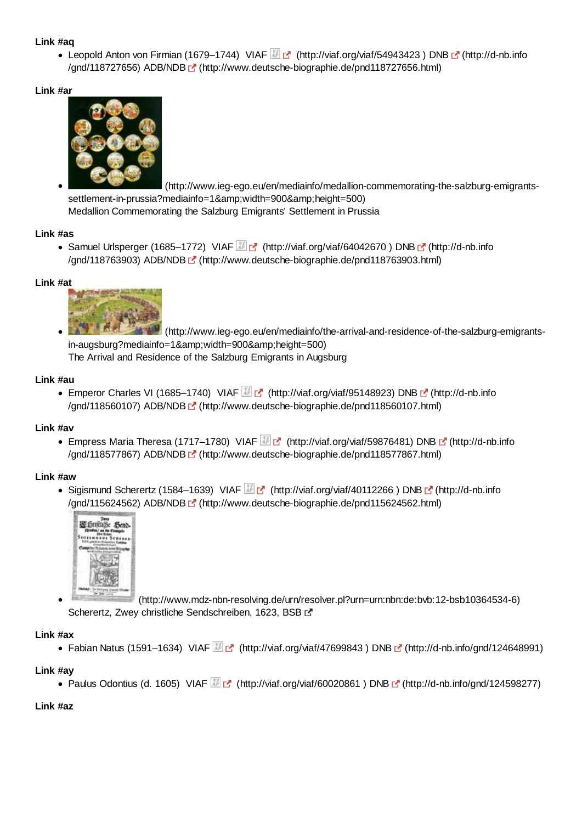### **Link #aq**

● Leopold Anton von Firmian (1679–1744) VIAF (http://viaf.org/viaf/54943423) DNB F (http://d-nb.info /gnd/118727656) ADB/NDB (http://www.deutsche-biographie.de/pnd118727656.html)

### **Link #ar**



 (http://www.ieg-ego.eu/en/mediainfo/medallion-commemorating-the-salzburg-emigrantssettlement-in-prussia?mediainfo=1&width=900&height=500) Medallion Commemorating the Salzburg Emigrants' Settlement in Prussia

# **Link #as**

• Samuel Urlsperger (1685–1772) VIAF (http://viaf.org/viaf/64042670) DNB [5] (http://d-nb.info /gnd/118763903) ADB/NDB (http://www.deutsche-biographie.de/pnd118763903.html)

#### **Link #at**



 (http://www.ieg-ego.eu/en/mediainfo/the-arrival-and-residence-of-the-salzburg-emigrantsin-augsburg?mediainfo=1&width=900&height=500) The Arrival and Residence of the Salzburg Emigrants in Augsburg

# **Link #au**

Emperor Charles VI (1685–1740) VIAF  $\mathbb{H}$  of (http://viaf.org/viaf/95148923) DNB of (http://d-nb.info /gnd/118560107) ADB/NDB (http://www.deutsche-biographie.de/pnd118560107.html)

#### **Link #av**

■ Empress Maria Theresa (1717–1780) VIAF (http://viaf.org/viaf/59876481) DNB C (http://d-nb.info /gnd/118577867) ADB/NDB (http://www.deutsche-biographie.de/pnd118577867.html)

#### **Link #aw**

Sigismund Scherertz (1584–1639) VIAF  $\mathbb{F}_{\mathbb{C}}$  (http://viaf.org/viaf/40112266) DNB  $\mathbb{F}_{\mathbb{C}}$  (http://d-nb.info /gnd/115624562) ADB/NDB (http://www.deutsche-biographie.de/pnd115624562.html)



 (http://www.mdz-nbn-resolving.de/urn/resolver.pl?urn=urn:nbn:de:bvb:12-bsb10364534-6) Scherertz, Zwey christliche Sendschreiben, 1623, BSB L'

#### **Link #ax**

• Fabian Natus (1591–1634) VIAF  $\mathbb{F}_2$  (http://viaf.org/viaf/47699843) DNB  $\mathbb{F}_2$  (http://d-nb.info/gnd/124648991)

#### **Link #ay**

```
• Paulus Odontius (d. 1605) VIAF (http://viaf.org/viaf/60020861) DNB [f] (http://d-nb.info/gnd/124598277)
```
#### **Link #az**